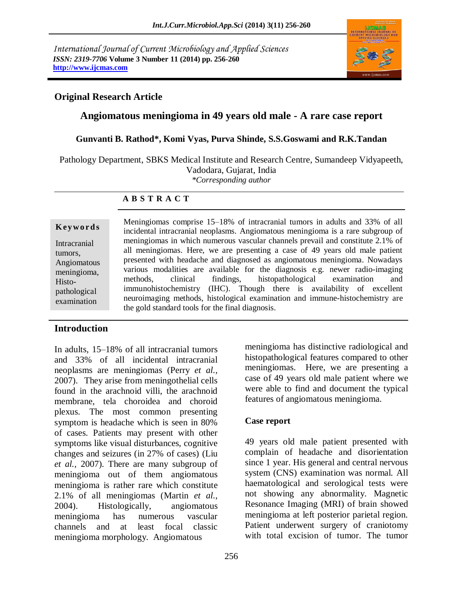*International Journal of Current Microbiology and Applied Sciences ISSN: 2319-7706* **Volume 3 Number 11 (2014) pp. 256-260 http://www.ijcmas.com**



# **Original Research Article**

# **Angiomatous meningioma in 49 years old male - A rare case report**

#### **Gunvanti B. Rathod\*, Komi Vyas, Purva Shinde, S.S.Goswami and R.K.Tandan**

Pathology Department, SBKS Medical Institute and Research Centre, Sumandeep Vidyapeeth, Vadodara, Gujarat, India

*\*Corresponding author*

#### **A B S T R A C T**

### **Introduction**

In adults, 15–18% of all intracranial tumors and 33% of all incidental intracranial neoplasms are meningiomas (Perry *et al.,* 2007). They arise from meningothelial cells found in the arachnoid villi, the arachnoid membrane, tela choroidea and choroid plexus. The most common presenting symptom is headache which is seen in 80% of cases. Patients may present with other symptoms like visual disturbances, cognitive changes and seizures (in 27% of cases) (Liu *et al.,* 2007). There are many subgroup of meningioma out of them angiomatous meningioma is rather rare which constitute 2.1% of all meningiomas (Martin *et al.,* 2004). Histologically, angiomatous meningioma has numerous vascular channels and at least focal classic meningioma morphology. Angiomatous

meningioma has distinctive radiological and histopathological features compared to other meningiomas. Here, we are presenting a case of 49 years old male patient where we were able to find and document the typical features of angiomatous meningioma.

### **Case report**

49 years old male patient presented with complain of headache and disorientation since 1 year. His general and central nervous system (CNS) examination was normal. All haematological and serological tests were not showing any abnormality. Magnetic Resonance Imaging (MRI) of brain showed meningioma at left posterior parietal region. Patient underwent surgery of craniotomy with total excision of tumor. The tumor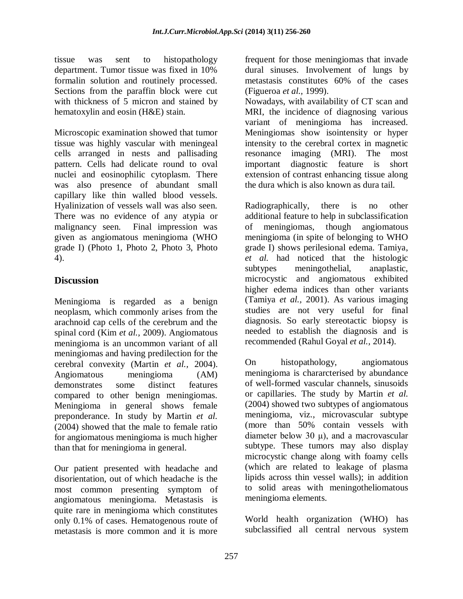tissue was sent to histopathology department. Tumor tissue was fixed in 10% formalin solution and routinely processed. Sections from the paraffin block were cut with thickness of 5 micron and stained by hematoxylin and eosin (H&E) stain.

Microscopic examination showed that tumor tissue was highly vascular with meningeal cells arranged in nests and pallisading pattern. Cells had delicate round to oval nuclei and eosinophilic cytoplasm. There was also presence of abundant small capillary like thin walled blood vessels. Hyalinization of vessels wall was also seen. There was no evidence of any atypia or malignancy seen. Final impression was given as angiomatous meningioma (WHO grade I) (Photo 1, Photo 2, Photo 3, Photo 4).

# **Discussion**

Meningioma is regarded as a benign neoplasm, which commonly arises from the arachnoid cap cells of the cerebrum and the spinal cord (Kim *et al.,* 2009). Angiomatous meningioma is an uncommon variant of all meningiomas and having predilection for the cerebral convexity (Martin *et al.,* 2004). Angiomatous meningioma (AM) demonstrates some distinct features compared to other benign meningiomas. Meningioma in general shows female preponderance. In study by Martin *et al.*  (2004) showed that the male to female ratio for angiomatous meningioma is much higher than that for meningioma in general.

Our patient presented with headache and disorientation, out of which headache is the most common presenting symptom of angiomatous meningioma. Metastasis is quite rare in meningioma which constitutes only 0.1% of cases. Hematogenous route of metastasis is more common and it is more

frequent for those meningiomas that invade dural sinuses. Involvement of lungs by metastasis constitutes 60% of the cases (Figueroa *et al.,* 1999).

Nowadays, with availability of CT scan and MRI, the incidence of diagnosing various variant of meningioma has increased. Meningiomas show isointensity or hyper intensity to the cerebral cortex in magnetic resonance imaging (MRI). The most important diagnostic feature is short extension of contrast enhancing tissue along the dura which is also known as dura tail.

Radiographically, there is no other additional feature to help in subclassification of meningiomas, though angiomatous meningioma (in spite of belonging to WHO grade I) shows perilesional edema. Tamiya, *et al.* had noticed that the histologic subtypes meningothelial, anaplastic, microcystic and angiomatous exhibited higher edema indices than other variants (Tamiya *et al.,* 2001). As various imaging studies are not very useful for final diagnosis. So early stereotactic biopsy is needed to establish the diagnosis and is recommended (Rahul Goyal *et al.,* 2014).

On histopathology, angiomatous meningioma is chararcterised by abundance of well-formed vascular channels, sinusoids or capillaries. The study by Martin *et al.*  (2004) showed two subtypes of angiomatous meningioma, viz., microvascular subtype (more than 50% contain vessels with diameter below 30  $\mu$ ), and a macrovascular subtype. These tumors may also display microcystic change along with foamy cells (which are related to leakage of plasma lipids across thin vessel walls); in addition to solid areas with meningotheliomatous meningioma elements.

World health organization (WHO) has subclassified all central nervous system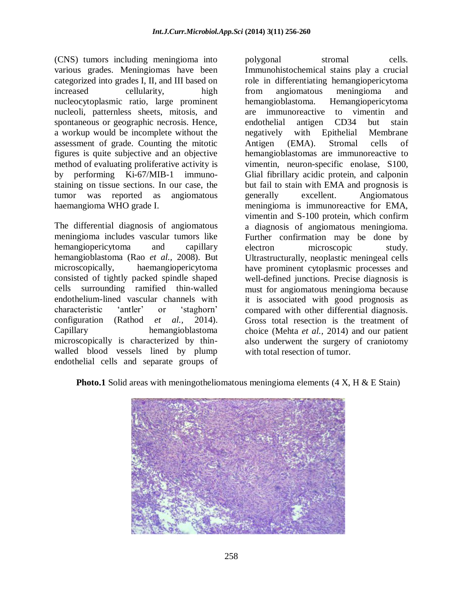(CNS) tumors including meningioma into various grades. Meningiomas have been categorized into grades I, II, and III based on increased cellularity, high nucleocytoplasmic ratio, large prominent nucleoli, patternless sheets, mitosis, and spontaneous or geographic necrosis. Hence, a workup would be incomplete without the assessment of grade. Counting the mitotic figures is quite subjective and an objective method of evaluating proliferative activity is by performing Ki-67/MIB-1 immunostaining on tissue sections. In our case, the tumor was reported as angiomatous haemangioma WHO grade I.

The differential diagnosis of angiomatous meningioma includes vascular tumors like hemangiopericytoma and capillary hemangioblastoma (Rao *et al.,* 2008). But microscopically, haemangiopericytoma consisted of tightly packed spindle shaped cells surrounding ramified thin-walled endothelium-lined vascular channels with characteristic 'antler' or 'staghorn' configuration (Rathod *et al.,* 2014). Capillary hemangioblastoma microscopically is characterized by thinwalled blood vessels lined by plump endothelial cells and separate groups of

polygonal stromal cells. Immunohistochemical stains play a crucial role in differentiating hemangiopericytoma from angiomatous meningioma and hemangioblastoma. Hemangiopericytoma are immunoreactive to vimentin and endothelial antigen CD34 but stain negatively with Epithelial Membrane Antigen (EMA). Stromal cells of hemangioblastomas are immunoreactive to vimentin, neuron-specific enolase, S100, Glial fibrillary acidic protein, and calponin but fail to stain with EMA and prognosis is generally excellent. Angiomatous meningioma is immunoreactive for EMA, vimentin and S-100 protein, which confirm a diagnosis of angiomatous meningioma. Further confirmation may be done by electron microscopic study. Ultrastructurally, neoplastic meningeal cells have prominent cytoplasmic processes and well-defined junctions. Precise diagnosis is must for angiomatous meningioma because it is associated with good prognosis as compared with other differential diagnosis. Gross total resection is the treatment of choice (Mehta *et al.,* 2014) and our patient also underwent the surgery of craniotomy with total resection of tumor.

**Photo.1** Solid areas with meningotheliomatous meningioma elements (4 X, H & E Stain)

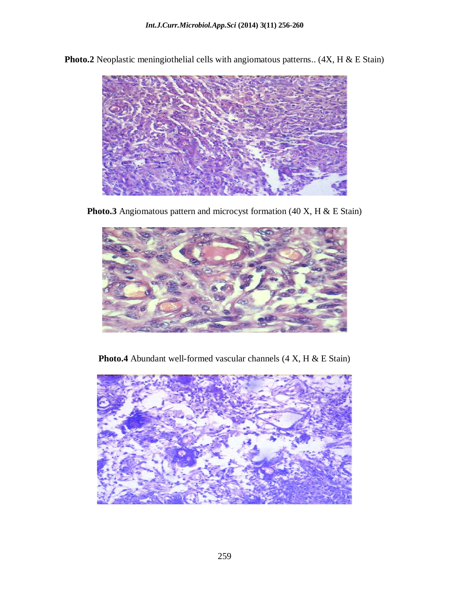

**Photo.2** Neoplastic meningiothelial cells with angiomatous patterns.. (4X, H & E Stain)

Photo.3 Angiomatous pattern and microcyst formation (40 X, H & E Stain)



Photo.4 Abundant well-formed vascular channels (4 X, H & E Stain)